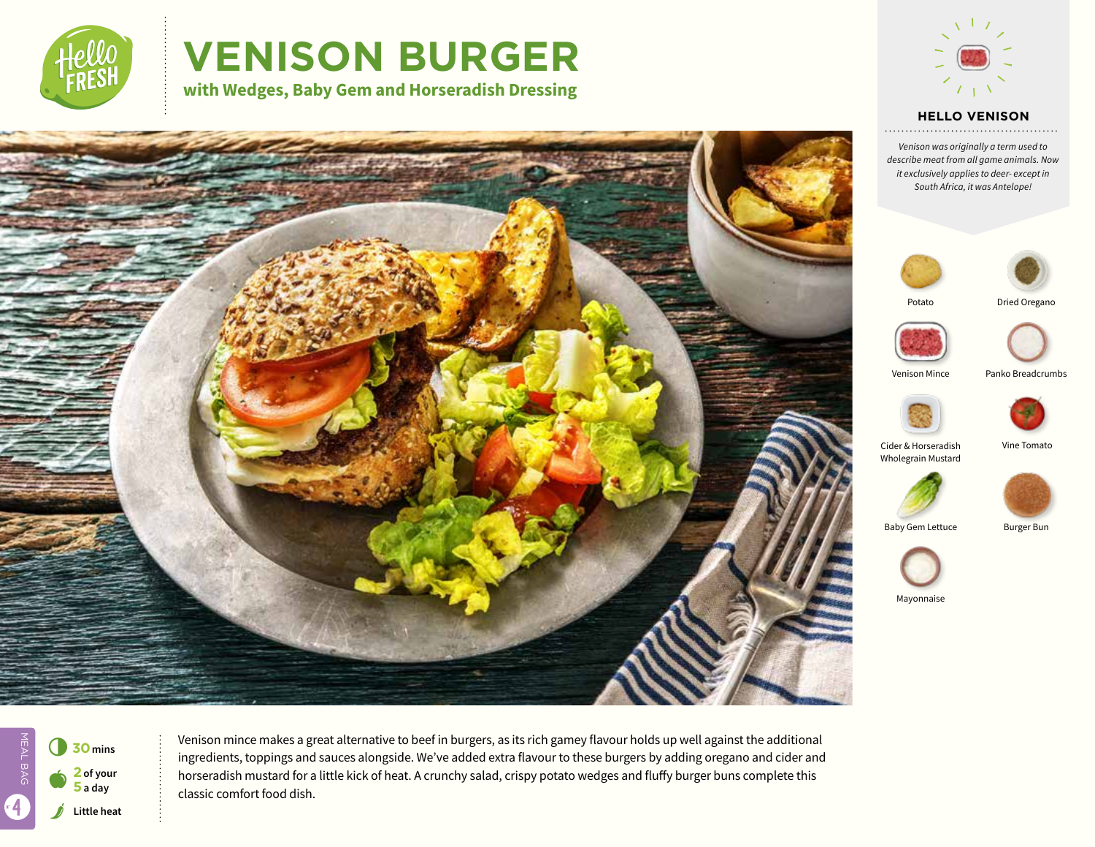

# **VENISON BURGER**

**with Wedges, Baby Gem and Horseradish Dressing**



### **HELLO VENISON**

*Venison was originally a term used to describe meat from all game animals. Now it exclusively applies to deer- except in South Africa, it was Antelope!*





Potato





Venison Mince Panko Breadcrumbs







Baby Gem Lettuce Burger Bun



Mayonnaise



MEAL BAG MEAL BAG 4



Venison mince makes a great alternative to beef in burgers, as its rich gamey flavour holds up well against the additional ingredients, toppings and sauces alongside. We've added extra flavour to these burgers by adding oregano and cider and horseradish mustard for a little kick of heat. A crunchy salad, crispy potato wedges and fluffy burger buns complete this classic comfort food dish.